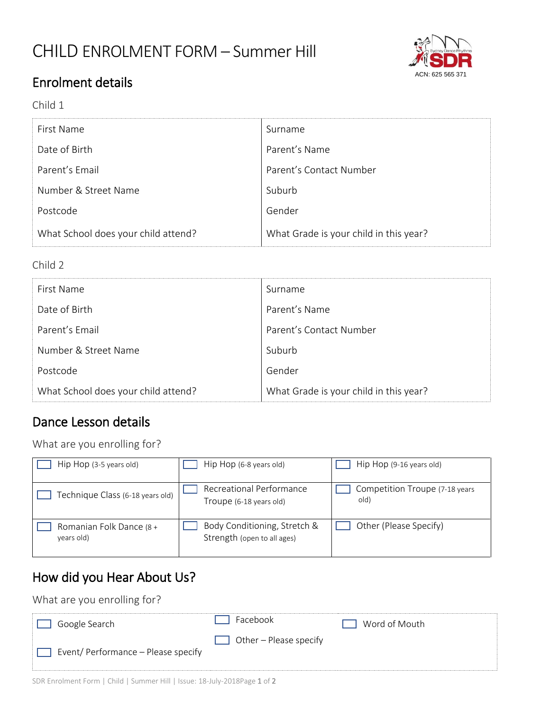# CHILD ENROLMENT FORM – Summer Hill



## Enrolment details

#### Child 1

| First Name                          | Surname                                |
|-------------------------------------|----------------------------------------|
| Date of Birth                       | Parent's Name                          |
| Parent's Email                      | Parent's Contact Number                |
| Number & Street Name                | Suburb                                 |
| Postcode                            | Gender                                 |
| What School does your child attend? | What Grade is your child in this year? |

#### Child 2

| First Name                          | Surname                                |
|-------------------------------------|----------------------------------------|
| Date of Birth                       | Parent's Name                          |
| Parent's Email                      | Parent's Contact Number                |
| Number & Street Name                | Suburb                                 |
| Postcode                            | Gender                                 |
| What School does your child attend? | What Grade is your child in this year? |

### Dance Lesson details

What are you enrolling for?

| Hip Hop (3-5 years old)                | Hip Hop (6-8 years old)                                     | Hip Hop (9-16 years old)                |
|----------------------------------------|-------------------------------------------------------------|-----------------------------------------|
| Fechnique Class (6-18 years old)       | Recreational Performance<br>Troupe (6-18 years old)         | Competition Troupe (7-18 years)<br>old) |
| Romanian Folk Dance (8 +<br>years old) | Body Conditioning, Stretch &<br>Strength (open to all ages) | Other (Please Specify)                  |

## How did you Hear About Us?

#### What are you enrolling for?

| Google Search                       | Facebook                      | Word of Mouth |
|-------------------------------------|-------------------------------|---------------|
| Event/ Performance – Please specify | $\Box$ Other – Please specify |               |